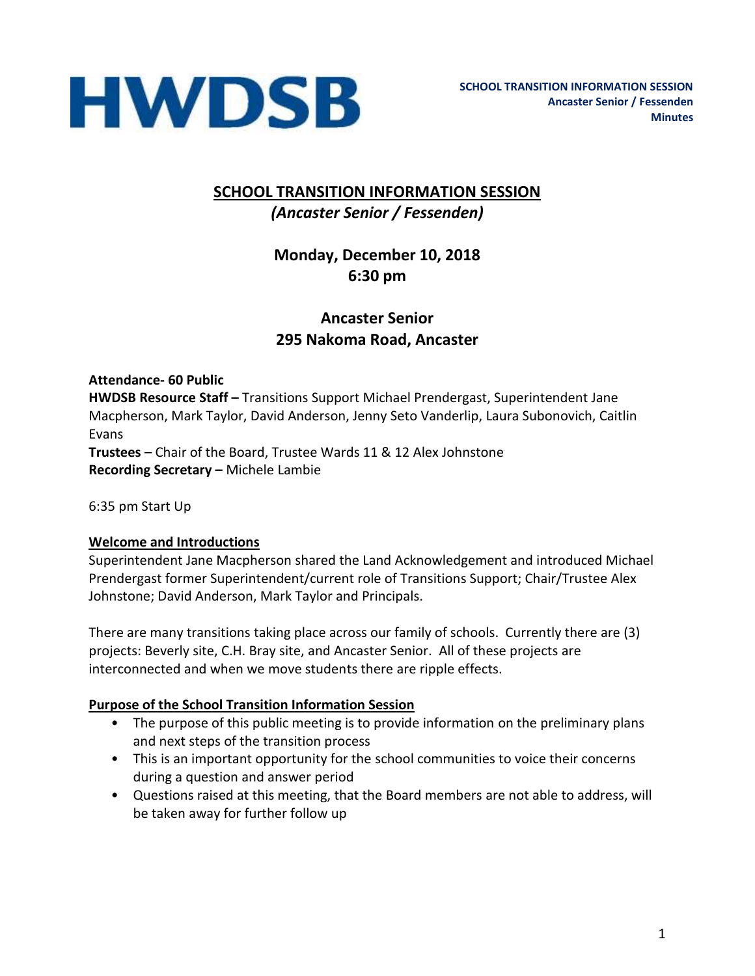

# **SCHOOL TRANSITION INFORMATION SESSION** *(Ancaster Senior / Fessenden)*

# **Monday, December 10, 2018 6:30 pm**

# **Ancaster Senior 295 Nakoma Road, Ancaster**

**Attendance- 60 Public HWDSB Resource Staff –** Transitions Support Michael Prendergast, Superintendent Jane Macpherson, Mark Taylor, David Anderson, Jenny Seto Vanderlip, Laura Subonovich, Caitlin Evans **Trustees** – Chair of the Board, Trustee Wards 11 & 12 Alex Johnstone **Recording Secretary –** Michele Lambie

6:35 pm Start Up

#### **Welcome and Introductions**

Superintendent Jane Macpherson shared the Land Acknowledgement and introduced Michael Prendergast former Superintendent/current role of Transitions Support; Chair/Trustee Alex Johnstone; David Anderson, Mark Taylor and Principals.

There are many transitions taking place across our family of schools. Currently there are (3) projects: Beverly site, C.H. Bray site, and Ancaster Senior. All of these projects are interconnected and when we move students there are ripple effects.

#### **Purpose of the School Transition Information Session**

- The purpose of this public meeting is to provide information on the preliminary plans and next steps of the transition process
- This is an important opportunity for the school communities to voice their concerns during a question and answer period
- Questions raised at this meeting, that the Board members are not able to address, will be taken away for further follow up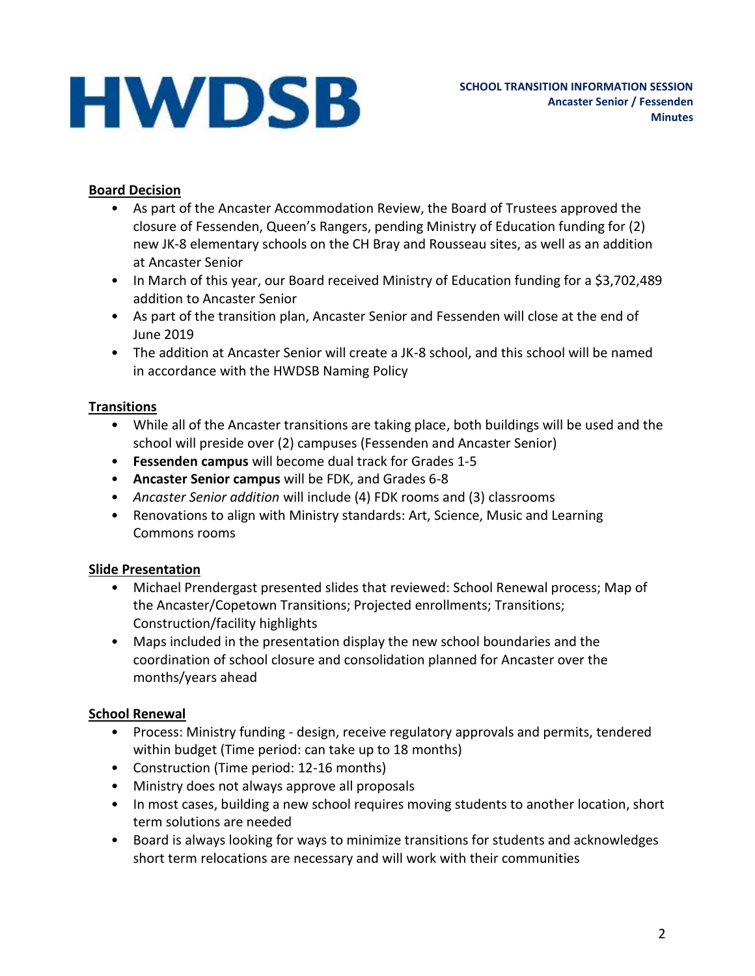#### **Board Decision**

- As part of the Ancaster Accommodation Review, the Board of Trustees approved the closure of Fessenden, Queen's Rangers, pending Ministry of Education funding for (2) new JK-8 elementary schools on the CH Bray and Rousseau sites, as well as an addition at Ancaster Senior
- In March of this year, our Board received Ministry of Education funding for a \$3,702,489 addition to Ancaster Senior
- As part of the transition plan, Ancaster Senior and Fessenden will close at the end of June 2019
- The addition at Ancaster Senior will create a JK-8 school, and this school will be named in accordance with the HWDSB Naming Policy

# **Transitions**

- While all of the Ancaster transitions are taking place, both buildings will be used and the school will preside over (2) campuses (Fessenden and Ancaster Senior)
- **Fessenden campus** will become dual track for Grades 1-5
- **Ancaster Senior campus** will be FDK, and Grades 6-8
- *Ancaster Senior addition* will include (4) FDK rooms and (3) classrooms
- Renovations to align with Ministry standards: Art, Science, Music and Learning Commons rooms

# **Slide Presentation**

- Michael Prendergast presented slides that reviewed: School Renewal process; Map of the Ancaster/Copetown Transitions; Projected enrollments; Transitions; Construction/facility highlights
- Maps included in the presentation display the new school boundaries and the coordination of school closure and consolidation planned for Ancaster over the months/years ahead

# **School Renewal**

- Process: Ministry funding design, receive regulatory approvals and permits, tendered within budget (Time period: can take up to 18 months)
- Construction (Time period: 12-16 months)
- Ministry does not always approve all proposals
- In most cases, building a new school requires moving students to another location, short term solutions are needed
- Board is always looking for ways to minimize transitions for students and acknowledges short term relocations are necessary and will work with their communities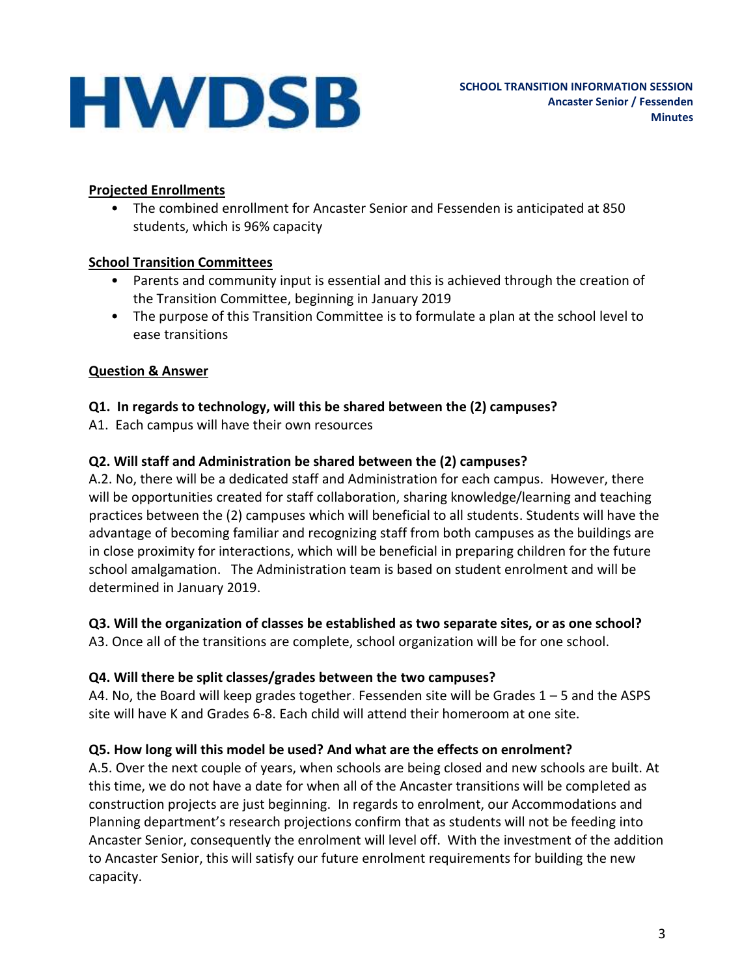#### **Projected Enrollments**

• The combined enrollment for Ancaster Senior and Fessenden is anticipated at 850 students, which is 96% capacity

# **School Transition Committees**

- Parents and community input is essential and this is achieved through the creation of the Transition Committee, beginning in January 2019
- The purpose of this Transition Committee is to formulate a plan at the school level to ease transitions

# **Question & Answer**

# **Q1. In regards to technology, will this be shared between the (2) campuses?**

A1. Each campus will have their own resources

# **Q2. Will staff and Administration be shared between the (2) campuses?**

A.2. No, there will be a dedicated staff and Administration for each campus. However, there will be opportunities created for staff collaboration, sharing knowledge/learning and teaching practices between the (2) campuses which will beneficial to all students. Students will have the advantage of becoming familiar and recognizing staff from both campuses as the buildings are in close proximity for interactions, which will be beneficial in preparing children for the future school amalgamation. The Administration team is based on student enrolment and will be determined in January 2019.

#### **Q3. Will the organization of classes be established as two separate sites, or as one school?**

A3. Once all of the transitions are complete, school organization will be for one school.

# **Q4. Will there be split classes/grades between the two campuses?**

A4. No, the Board will keep grades together. Fessenden site will be Grades 1 – 5 and the ASPS site will have K and Grades 6-8. Each child will attend their homeroom at one site.

# **Q5. How long will this model be used? And what are the effects on enrolment?**

A.5. Over the next couple of years, when schools are being closed and new schools are built. At this time, we do not have a date for when all of the Ancaster transitions will be completed as construction projects are just beginning. In regards to enrolment, our Accommodations and Planning department's research projections confirm that as students will not be feeding into Ancaster Senior, consequently the enrolment will level off. With the investment of the addition to Ancaster Senior, this will satisfy our future enrolment requirements for building the new capacity.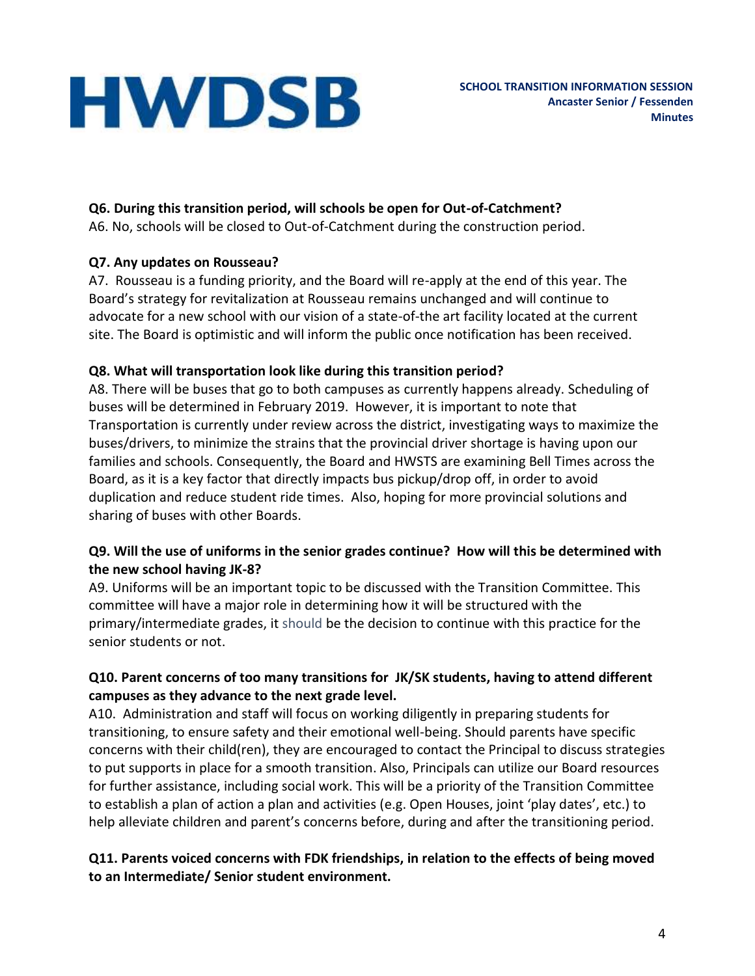# **Q6. During this transition period, will schools be open for Out-of-Catchment?**

A6. No, schools will be closed to Out-of-Catchment during the construction period.

# **Q7. Any updates on Rousseau?**

A7. Rousseau is a funding priority, and the Board will re-apply at the end of this year. The Board's strategy for revitalization at Rousseau remains unchanged and will continue to advocate for a new school with our vision of a state-of-the art facility located at the current site. The Board is optimistic and will inform the public once notification has been received.

# **Q8. What will transportation look like during this transition period?**

A8. There will be buses that go to both campuses as currently happens already. Scheduling of buses will be determined in February 2019. However, it is important to note that Transportation is currently under review across the district, investigating ways to maximize the buses/drivers, to minimize the strains that the provincial driver shortage is having upon our families and schools. Consequently, the Board and HWSTS are examining Bell Times across the Board, as it is a key factor that directly impacts bus pickup/drop off, in order to avoid duplication and reduce student ride times. Also, hoping for more provincial solutions and sharing of buses with other Boards.

# **Q9. Will the use of uniforms in the senior grades continue? How will this be determined with the new school having JK-8?**

A9. Uniforms will be an important topic to be discussed with the Transition Committee. This committee will have a major role in determining how it will be structured with the primary/intermediate grades, it should be the decision to continue with this practice for the senior students or not.

# **Q10. Parent concerns of too many transitions for JK/SK students, having to attend different campuses as they advance to the next grade level.**

A10. Administration and staff will focus on working diligently in preparing students for transitioning, to ensure safety and their emotional well-being. Should parents have specific concerns with their child(ren), they are encouraged to contact the Principal to discuss strategies to put supports in place for a smooth transition. Also, Principals can utilize our Board resources for further assistance, including social work. This will be a priority of the Transition Committee to establish a plan of action a plan and activities (e.g. Open Houses, joint 'play dates', etc.) to help alleviate children and parent's concerns before, during and after the transitioning period.

#### **Q11. Parents voiced concerns with FDK friendships, in relation to the effects of being moved to an Intermediate/ Senior student environment.**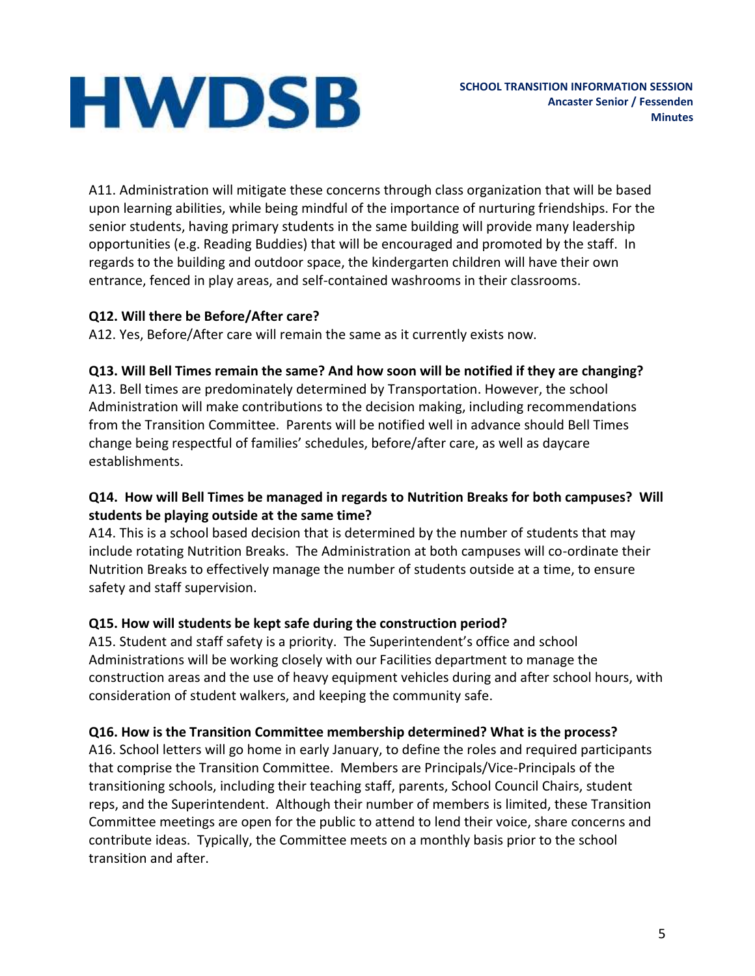A11. Administration will mitigate these concerns through class organization that will be based upon learning abilities, while being mindful of the importance of nurturing friendships. For the senior students, having primary students in the same building will provide many leadership opportunities (e.g. Reading Buddies) that will be encouraged and promoted by the staff. In regards to the building and outdoor space, the kindergarten children will have their own entrance, fenced in play areas, and self-contained washrooms in their classrooms.

# **Q12. Will there be Before/After care?**

A12. Yes, Before/After care will remain the same as it currently exists now.

#### **Q13. Will Bell Times remain the same? And how soon will be notified if they are changing?**

A13. Bell times are predominately determined by Transportation. However, the school Administration will make contributions to the decision making, including recommendations from the Transition Committee. Parents will be notified well in advance should Bell Times change being respectful of families' schedules, before/after care, as well as daycare establishments.

# **Q14. How will Bell Times be managed in regards to Nutrition Breaks for both campuses? Will students be playing outside at the same time?**

A14. This is a school based decision that is determined by the number of students that may include rotating Nutrition Breaks. The Administration at both campuses will co-ordinate their Nutrition Breaks to effectively manage the number of students outside at a time, to ensure safety and staff supervision.

# **Q15. How will students be kept safe during the construction period?**

A15. Student and staff safety is a priority. The Superintendent's office and school Administrations will be working closely with our Facilities department to manage the construction areas and the use of heavy equipment vehicles during and after school hours, with consideration of student walkers, and keeping the community safe.

#### **Q16. How is the Transition Committee membership determined? What is the process?**

A16. School letters will go home in early January, to define the roles and required participants that comprise the Transition Committee. Members are Principals/Vice-Principals of the transitioning schools, including their teaching staff, parents, School Council Chairs, student reps, and the Superintendent. Although their number of members is limited, these Transition Committee meetings are open for the public to attend to lend their voice, share concerns and contribute ideas. Typically, the Committee meets on a monthly basis prior to the school transition and after.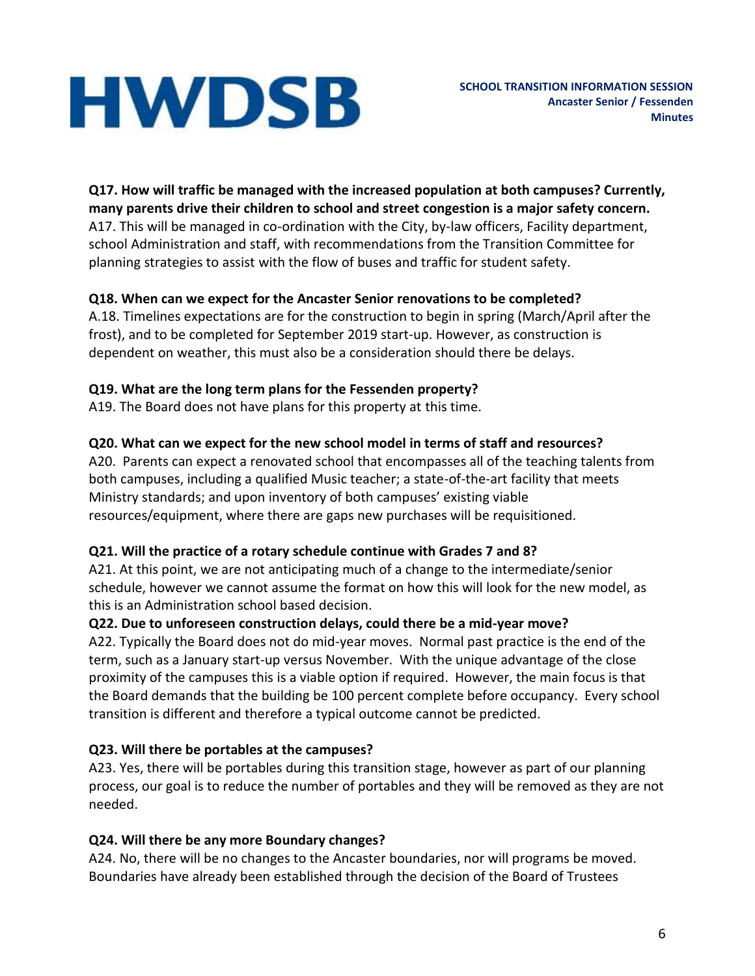**Q17. How will traffic be managed with the increased population at both campuses? Currently, many parents drive their children to school and street congestion is a major safety concern.** A17. This will be managed in co-ordination with the City, by-law officers, Facility department, school Administration and staff, with recommendations from the Transition Committee for planning strategies to assist with the flow of buses and traffic for student safety.

# **Q18. When can we expect for the Ancaster Senior renovations to be completed?**

A.18. Timelines expectations are for the construction to begin in spring (March/April after the frost), and to be completed for September 2019 start-up. However, as construction is dependent on weather, this must also be a consideration should there be delays.

# **Q19. What are the long term plans for the Fessenden property?**

A19. The Board does not have plans for this property at this time.

# **Q20. What can we expect for the new school model in terms of staff and resources?**

A20. Parents can expect a renovated school that encompasses all of the teaching talents from both campuses, including a qualified Music teacher; a state-of-the-art facility that meets Ministry standards; and upon inventory of both campuses' existing viable resources/equipment, where there are gaps new purchases will be requisitioned.

#### **Q21. Will the practice of a rotary schedule continue with Grades 7 and 8?**

A21. At this point, we are not anticipating much of a change to the intermediate/senior schedule, however we cannot assume the format on how this will look for the new model, as this is an Administration school based decision.

#### **Q22. Due to unforeseen construction delays, could there be a mid-year move?**

A22. Typically the Board does not do mid-year moves. Normal past practice is the end of the term, such as a January start-up versus November. With the unique advantage of the close proximity of the campuses this is a viable option if required. However, the main focus is that the Board demands that the building be 100 percent complete before occupancy. Every school transition is different and therefore a typical outcome cannot be predicted.

#### **Q23. Will there be portables at the campuses?**

A23. Yes, there will be portables during this transition stage, however as part of our planning process, our goal is to reduce the number of portables and they will be removed as they are not needed.

#### **Q24. Will there be any more Boundary changes?**

A24. No, there will be no changes to the Ancaster boundaries, nor will programs be moved. Boundaries have already been established through the decision of the Board of Trustees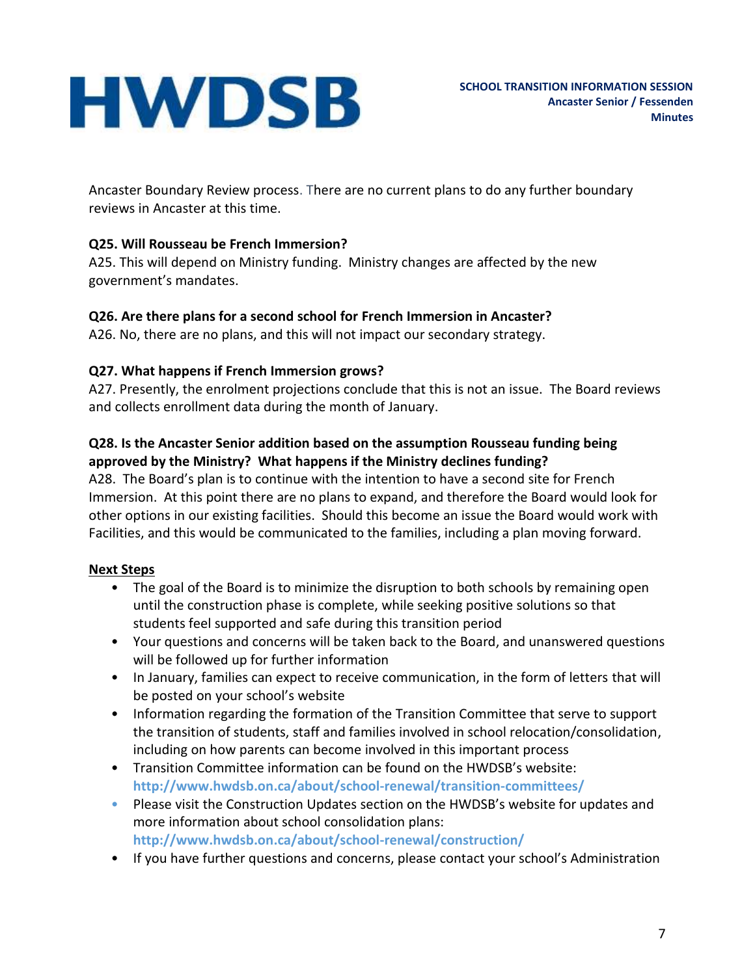Ancaster Boundary Review process. There are no current plans to do any further boundary reviews in Ancaster at this time.

#### **Q25. Will Rousseau be French Immersion?**

A25. This will depend on Ministry funding. Ministry changes are affected by the new government's mandates.

#### **Q26. Are there plans for a second school for French Immersion in Ancaster?**

A26. No, there are no plans, and this will not impact our secondary strategy.

#### **Q27. What happens if French Immersion grows?**

A27. Presently, the enrolment projections conclude that this is not an issue. The Board reviews and collects enrollment data during the month of January.

#### **Q28. Is the Ancaster Senior addition based on the assumption Rousseau funding being approved by the Ministry? What happens if the Ministry declines funding?**

A28. The Board's plan is to continue with the intention to have a second site for French Immersion. At this point there are no plans to expand, and therefore the Board would look for other options in our existing facilities. Should this become an issue the Board would work with Facilities, and this would be communicated to the families, including a plan moving forward.

#### **Next Steps**

- The goal of the Board is to minimize the disruption to both schools by remaining open until the construction phase is complete, while seeking positive solutions so that students feel supported and safe during this transition period
- Your questions and concerns will be taken back to the Board, and unanswered questions will be followed up for further information
- In January, families can expect to receive communication, in the form of letters that will be posted on your school's website
- Information regarding the formation of the Transition Committee that serve to support the transition of students, staff and families involved in school relocation/consolidation, including on how parents can become involved in this important process
- Transition Committee information can be found on the HWDSB's website: **http://www.hwdsb.on.ca/about/school-renewal/transition-committees/**
- Please visit the Construction Updates section on the HWDSB's website for updates and more information about school consolidation plans: **http://www.hwdsb.on.ca/about/school-renewal/construction/**
- If you have further questions and concerns, please contact your school's Administration